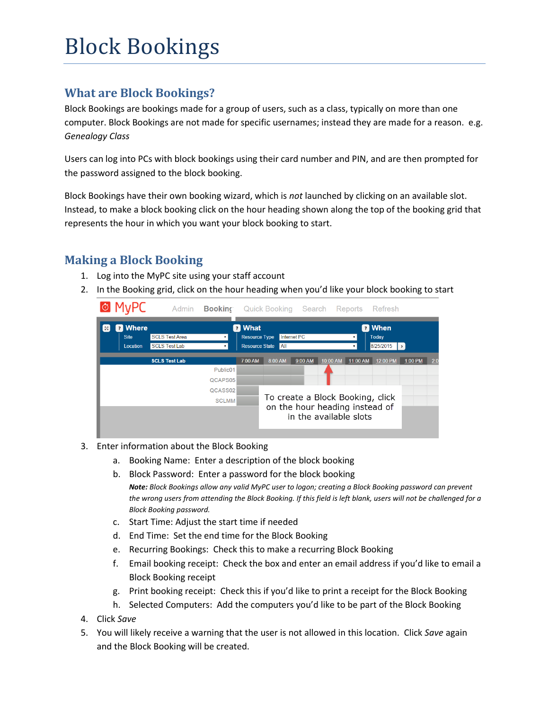# Block Bookings

# **What are Block Bookings?**

Block Bookings are bookings made for a group of users, such as a class, typically on more than one computer. Block Bookings are not made for specific usernames; instead they are made for a reason. e.g. *Genealogy Class*

Users can log into PCs with block bookings using their card number and PIN, and are then prompted for the password assigned to the block booking.

Block Bookings have their own booking wizard, which is *not* launched by clicking on an available slot. Instead, to make a block booking click on the hour heading shown along the top of the booking grid that represents the hour in which you want your block booking to start.

# **Making a Block Booking**

- 1. Log into the MyPC site using your staff account
- 2. In the Booking grid, click on the hour heading when you'd like your block booking to start



- 3. Enter information about the Block Booking
	- a. Booking Name: Enter a description of the block booking
	- b. Block Password: Enter a password for the block booking *Note: Block Bookings allow any valid MyPC user to logon; creating a Block Booking password can prevent the wrong users from attending the Block Booking. If this field is left blank, users will not be challenged for a Block Booking password.*
	- c. Start Time: Adjust the start time if needed
	- d. End Time: Set the end time for the Block Booking
	- e. Recurring Bookings: Check this to make a recurring Block Booking
	- f. Email booking receipt: Check the box and enter an email address if you'd like to email a Block Booking receipt
	- g. Print booking receipt: Check this if you'd like to print a receipt for the Block Booking
- h. Selected Computers: Add the computers you'd like to be part of the Block Booking 4. Click *Save*
- 5. You will likely receive a warning that the user is not allowed in this location. Click *Save* again and the Block Booking will be created.